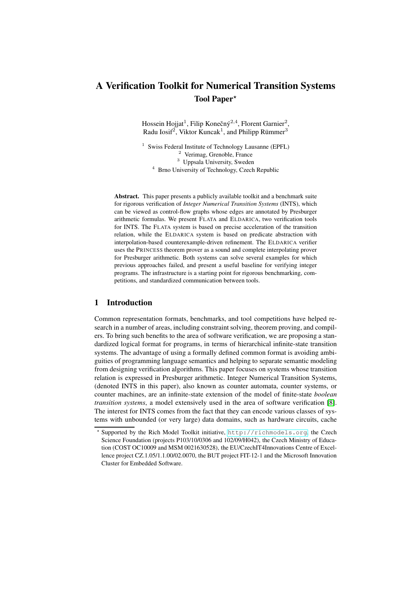# **A Verification Toolkit for Numerical Transition Systems** Tool Paper<sup>\*</sup>

Hossein Hojjat<sup>1</sup>, Filip Konečný<sup>2,4</sup>, Florent Garnier<sup>2</sup>, Radu Iosif<sup>2</sup>, Viktor Kuncak<sup>1</sup>, and Philipp Rümmer<sup>3</sup>

<sup>1</sup> Swiss Federal Institute of Technology Lausanne (EPFL) <sup>2</sup> Verimag, Grenoble, France <sup>3</sup> Uppsala University, Sweden <sup>4</sup> Brno University of Technology, Czech Republic

**Abstract.** This paper presents a publicly available toolkit and a benchmark suite for rigorous verification of *Integer Numerical Transition Systems* (INTS), which can be viewed as control-flow graphs whose edges are annotated by Presburger arithmetic formulas. We present FLATA and ELDARICA, two verification tools for INTS. The FLATA system is based on precise acceleration of the transition relation, while the ELDARICA system is based on predicate abstraction with interpolation-based counterexample-driven refinement. The ELDARICA verifier uses the PRINCESS theorem prover as a sound and complete interpolating prover for Presburger arithmetic. Both systems can solve several examples for which previous approaches failed, and present a useful baseline for verifying integer programs. The infrastructure is a starting point for rigorous benchmarking, competitions, and standardized communication between tools.

# **1 Introduction**

Common representation formats, benchmarks, and tool competitions have helped research in a number of areas, including constraint solving, theorem proving, and compilers. To bring such benefits to the area of software verification, we are proposing a standardized logical format for programs, in terms of hierarchical infinite-state transition systems. The advantage of using a formally defined common format is avoiding ambiguities of programming language semantics and helping to separate semantic modeling from designing verification algorithms. This paper focuses on systems whose transition relation is expressed in Presburger arithmetic. Integer Numerical Transition Systems, (denoted INTS in this paper), also known as counter automata, counter systems, or counter machines, are an infinite-state extension of the model of finite-state *boolean transition systems*, a model extensively used in the area of software verification [\[8\]](#page-3-0). The interest for INTS comes from the fact that they can encode various classes of systems with unbounded (or very large) data domains, such as hardware circuits, cache

Supported by the Rich Model Toolkit initiative, <http://richmodels.org>, the Czech Science Foundation (projects P103/10/0306 and 102/09/H042), the Czech Ministry of Education (COST OC10009 and MSM 0021630528), the EU/CzechIT4Innovations Centre of Excellence project CZ.1.05/1.1.00/02.0070, the BUT project FIT-12-1 and the Microsoft Innovation Cluster for Embedded Software.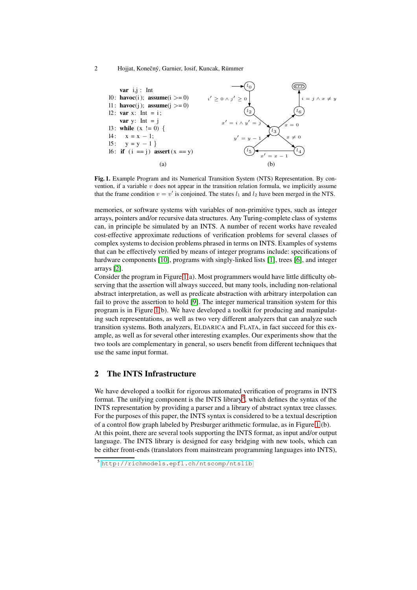2 Hojjat, Konečný, Garnier, Iosif, Kuncak, Rümmer



<span id="page-1-0"></span>**Fig. 1.** Example Program and its Numerical Transition System (NTS) Representation. By convention, if a variable  $v$  does not appear in the transition relation formula, we implicitly assume that the frame condition  $v = v'$  is conjoined. The states  $l_1$  and  $l_2$  have been merged in the NTS.

memories, or software systems with variables of non-primitive types, such as integer arrays, pointers and/or recursive data structures. Any Turing-complete class of systems can, in principle be simulated by an INTS. A number of recent works have revealed cost-effective approximate reductions of verification problems for several classes of complex systems to decision problems phrased in terms on INTS. Examples of systems that can be effectively verified by means of integer programs include: specifications of hardware components [\[10\]](#page-3-1), programs with singly-linked lists [\[1\]](#page-3-2), trees [\[6\]](#page-3-3), and integer arrays [\[2\]](#page-3-4).

Consider the program in Figure [1\(](#page-1-0)a). Most programmers would have little difficulty observing that the assertion will always succeed, but many tools, including non-relational abstract interpretation, as well as predicate abstraction with arbitrary interpolation can fail to prove the assertion to hold [\[9\]](#page-3-5). The integer numerical transition system for this program is in Figure [1\(](#page-1-0)b). We have developed a toolkit for producing and manipulating such representations, as well as two very different analyzers that can analyze such transition systems. Both analyzers, ELDARICA and FLATA, in fact succeed for this example, as well as for several other interesting examples. Our experiments show that the two tools are complementary in general, so users benefit from different techniques that use the same input format.

# **2 The INTS Infrastructure**

We have developed a toolkit for rigorous automated verification of programs in INTS format. The unifying component is the INTS library<sup>[5](#page-1-1)</sup>, which defines the syntax of the INTS representation by providing a parser and a library of abstract syntax tree classes. For the purposes of this paper, the INTS syntax is considered to be a textual description of a control flow graph labeled by Presburger arithmetic formulae, as in Figure [1](#page-1-0) (b). At this point, there are several tools supporting the INTS format, as input and/or output language. The INTS library is designed for easy bridging with new tools, which can be either front-ends (translators from mainstream programming languages into INTS),

<span id="page-1-1"></span><sup>5</sup> <http://richmodels.epfl.ch/ntscomp/ntslib>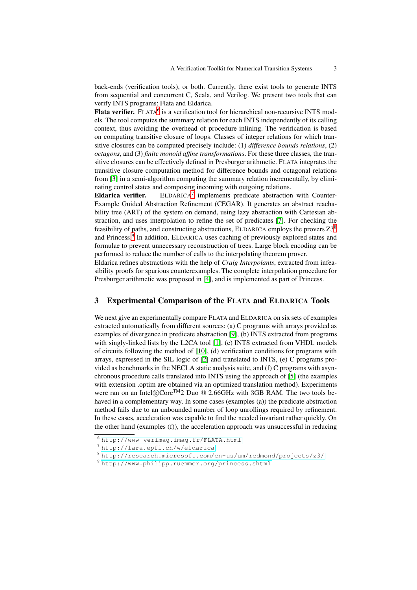back-ends (verification tools), or both. Currently, there exist tools to generate INTS from sequential and concurrent C, Scala, and Verilog. We present two tools that can verify INTS programs: Flata and Eldarica.

Flata verifier. FLATA<sup>[6](#page-2-0)</sup> is a verification tool for hierarchical non-recursive INTS models. The tool computes the summary relation for each INTS independently of its calling context, thus avoiding the overhead of procedure inlining. The verification is based on computing transitive closure of loops. Classes of integer relations for which transitive closures can be computed precisely include: (1) *difference bounds relations*, (2) *octagons*, and (3) *finite monoid affine transformations*. For these three classes, the transitive closures can be effectively defined in Presburger arithmetic. FLATA integrates the transitive closure computation method for difference bounds and octagonal relations from [\[3\]](#page-3-6) in a semi-algorithm computing the summary relation incrementally, by eliminating control states and composing incoming with outgoing relations.

**Eldarica verifier.**  $ELDARICA<sup>7</sup>$  implements predicate abstraction with Counter-Example Guided Abstraction Refinement (CEGAR). It generates an abstract reachability tree (ART) of the system on demand, using lazy abstraction with Cartesian abstraction, and uses interpolation to refine the set of predicates [\[7\]](#page-3-7). For checking the feasibility of paths, and constructing abstractions, ELDARICA employs the provers  $Z3<sup>8</sup>$  $Z3<sup>8</sup>$  $Z3<sup>8</sup>$ and Princess.<sup>[9](#page-2-3)</sup> In addition, ELDARICA uses caching of previously explored states and formulae to prevent unnecessary reconstruction of trees. Large block encoding can be performed to reduce the number of calls to the interpolating theorem prover.

Eldarica refines abstractions with the help of *Craig Interpolants*, extracted from infeasibility proofs for spurious counterexamples. The complete interpolation procedure for Presburger arithmetic was proposed in [\[4\]](#page-3-8), and is implemented as part of Princess.

### **3 Experimental Comparison of the FLATA and ELDARICA Tools**

We next give an experimentally compare FLATA and ELDARICA on six sets of examples extracted automatically from different sources: (a) C programs with arrays provided as examples of divergence in predicate abstraction [\[9\]](#page-3-5), (b) INTS extracted from programs with singly-linked lists by the L2CA tool [\[1\]](#page-3-2), (c) INTS extracted from VHDL models of circuits following the method of  $[10]$ , (d) verification conditions for programs with arrays, expressed in the SIL logic of [\[2\]](#page-3-4) and translated to INTS, (e) C programs provided as benchmarks in the NECLA static analysis suite, and (f) C programs with asynchronous procedure calls translated into INTS using the approach of [\[5\]](#page-3-9) (the examples with extension .optim are obtained via an optimized translation method). Experiments were ran on an Intel $\Omega$ Core<sup>TM</sup>2 Duo @ 2.66GHz with 3GB RAM. The two tools behaved in a complementary way. In some cases (examples (a)) the predicate abstraction method fails due to an unbounded number of loop unrollings required by refinement. In these cases, acceleration was capable to find the needed invariant rather quickly. On the other hand (examples (f)), the acceleration approach was unsuccessful in reducing

<sup>6</sup> <http://www-verimag.imag.fr/FLATA.html>

<span id="page-2-0"></span><sup>7</sup> <http://lara.epfl.ch/w/eldarica>

<span id="page-2-1"></span><sup>8</sup> <http://research.microsoft.com/en-us/um/redmond/projects/z3/>

<span id="page-2-3"></span><span id="page-2-2"></span><sup>9</sup> <http://www.philipp.ruemmer.org/princess.shtml>